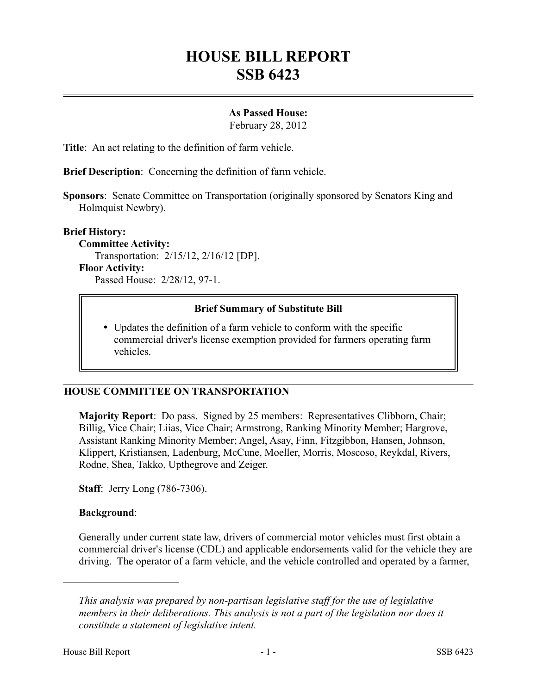# **HOUSE BILL REPORT SSB 6423**

## **As Passed House:**

February 28, 2012

**Title**: An act relating to the definition of farm vehicle.

**Brief Description**: Concerning the definition of farm vehicle.

**Sponsors**: Senate Committee on Transportation (originally sponsored by Senators King and Holmquist Newbry).

**Brief History:**

**Committee Activity:** Transportation: 2/15/12, 2/16/12 [DP]. **Floor Activity:** Passed House: 2/28/12, 97-1.

### **Brief Summary of Substitute Bill**

 Updates the definition of a farm vehicle to conform with the specific commercial driver's license exemption provided for farmers operating farm vehicles.

### **HOUSE COMMITTEE ON TRANSPORTATION**

**Majority Report**: Do pass. Signed by 25 members: Representatives Clibborn, Chair; Billig, Vice Chair; Liias, Vice Chair; Armstrong, Ranking Minority Member; Hargrove, Assistant Ranking Minority Member; Angel, Asay, Finn, Fitzgibbon, Hansen, Johnson, Klippert, Kristiansen, Ladenburg, McCune, Moeller, Morris, Moscoso, Reykdal, Rivers, Rodne, Shea, Takko, Upthegrove and Zeiger.

**Staff**: Jerry Long (786-7306).

### **Background**:

––––––––––––––––––––––

Generally under current state law, drivers of commercial motor vehicles must first obtain a commercial driver's license (CDL) and applicable endorsements valid for the vehicle they are driving. The operator of a farm vehicle, and the vehicle controlled and operated by a farmer,

*This analysis was prepared by non-partisan legislative staff for the use of legislative members in their deliberations. This analysis is not a part of the legislation nor does it constitute a statement of legislative intent.*